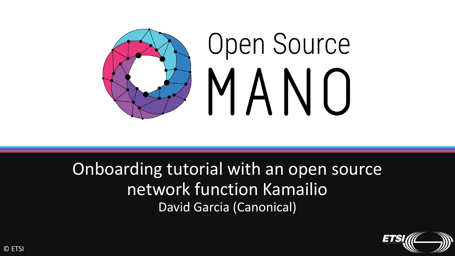

Onboarding tutorial with an open source network function Kamailio David Garcia (Canonical)

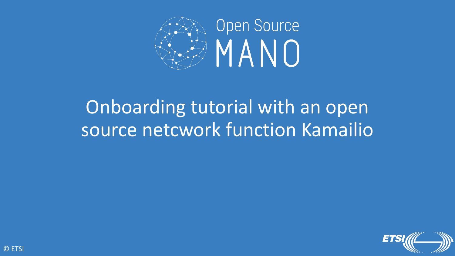

# Onboarding tutorial with an open source netcwork function Kamailio

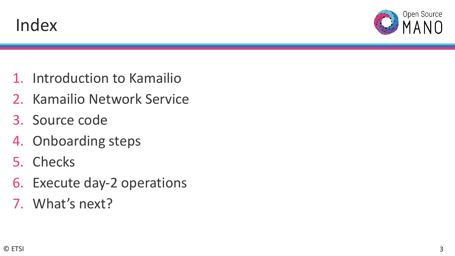



- 1. Introduction to Kamailio
- 2. Kamailio Network Service
- 3. Source code
- 4. Onboarding steps
- 5. Checks
- 6. Execute day-2 operations
- 7. What's next?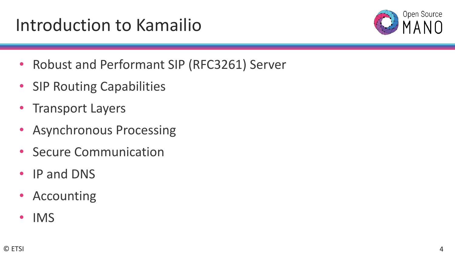# Introduction to Kamailio



- Robust and Performant SIP (RFC3261) Server
- SIP Routing Capabilities
- Transport Layers
- Asynchronous Processing
- Secure Communication
- IP and DNS
- Accounting
- IMS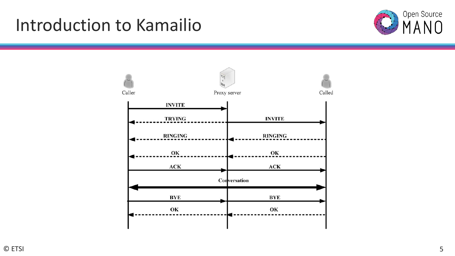## Introduction to Kamailio



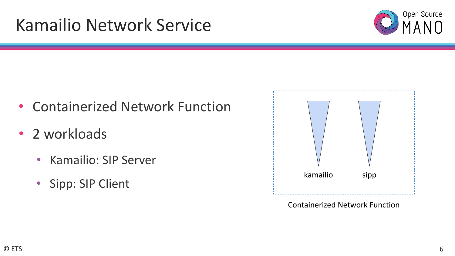## Kamailio Network Service



- Containerized Network Function
- 2 workloads
	- Kamailio: SIP Server
	- Sipp: SIP Client



Containerized Network Function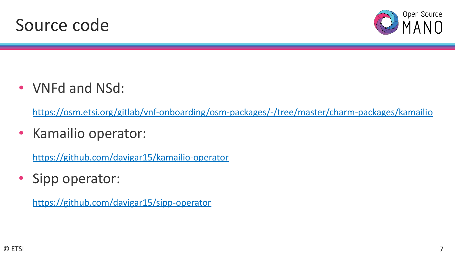



• VNFd and NSd:

<https://osm.etsi.org/gitlab/vnf-onboarding/osm-packages/-/tree/master/charm-packages/kamailio>

• Kamailio operator:

<https://github.com/davigar15/kamailio-operator>

• Sipp operator:

<https://github.com/davigar15/sipp-operator>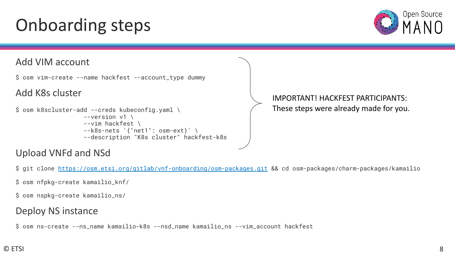# Onboarding steps



#### Add VIM account

\$ osm vim-create --name hackfest --account\_type dummy

#### Add K8s cluster

```
$ osm k8scluster-add --creds kubeconfig.yaml \
        --version v1 \
        --vim hackfest \
        --k8s-nets '{"net1": osm-ext}' \
        --description "K8s cluster" hackfest-k8s
```
#### IMPORTANT! HACKFEST PARTICIPANTS: These steps were already made for you.

#### Upload VNFd and NSd

\$ git clone <https://osm.etsi.org/gitlab/vnf-onboarding/osm-packages.git>&& cd osm-packages/charm-packages/kamailio

- \$ osm nfpkg-create kamailio\_knf/
- \$ osm nspkg-create kamailio\_ns/

#### Deploy NS instance

\$ osm ns-create --ns\_name kamailio-k8s --nsd\_name kamailio\_ns --vim\_account hackfest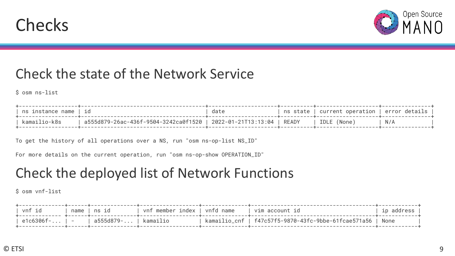



## Check the state of the Network Service

\$ osm ns-list

| I ns instance name   id |                                                                    | date | $\mid$ ns state   current operation   error details |     |
|-------------------------|--------------------------------------------------------------------|------|-----------------------------------------------------|-----|
| kamailio-k8s            | a555d879-26ac-436f-9504-3242ca0f1520   2022-01-21T13:13:04   READY |      | l IDLE (None)                                       | N/A |
|                         |                                                                    |      |                                                     |     |

To get the history of all operations over a NS, run "osm ns-op-list NS\_ID"

For more details on the current operation, run "osm ns-op-show OPERATION\_ID"

## Check the deployed list of Network Functions

\$ osm vnf-list

| ∣ vnf id            | name   ns id         | vnf member index   vnfd name | vim account id                                             | ip address |
|---------------------|----------------------|------------------------------|------------------------------------------------------------|------------|
| $ $ e1c6306f- $ $ - | a555d879-   kamailio |                              | kamailio_cnf   f47c57f5-9870-43fc-9bbe-61fcae571a56   None |            |
|                     |                      |                              |                                                            |            |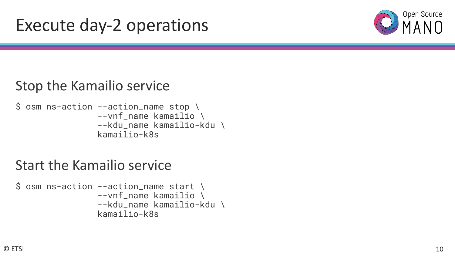

## Stop the Kamailio service

```
$ osm ns-action --action_name stop \
      --vnf_name kamailio \
      --kdu_name kamailio-kdu \
     kamailio-k8s
```
## Start the Kamailio service

```
\text{\$} osm ns-action --action_name start \
       --vnf_name kamailio \
       --kdu_name kamailio-kdu \
       kamailio-k8s
```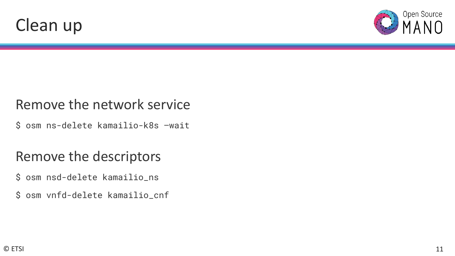



## Remove the network service

\$ osm ns-delete kamailio-k8s –wait

## Remove the descriptors

- \$ osm nsd-delete kamailio\_ns
- \$ osm vnfd-delete kamailio\_cnf